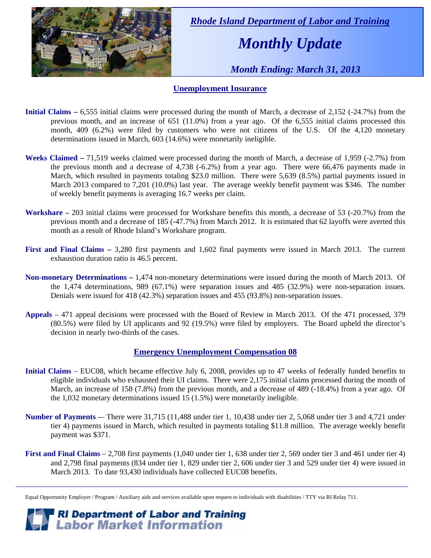

 *Rhode Island Department of Labor and Training* 

# *Monthly Update*

 *Month Ending: March 31, 2013* 

#### **Unemployment Insurance**

- **Initial Claims** 6,555 initial claims were processed during the month of March, a decrease of 2,152 (-24.7%) from the previous month, and an increase of 651 (11.0%) from a year ago. Of the 6,555 initial claims processed this month, 409 (6.2%) were filed by customers who were not citizens of the U.S. Of the 4,120 monetary determinations issued in March, 603 (14.6%) were monetarily ineligible.
- **Weeks Claimed** 71,519 weeks claimed were processed during the month of March, a decrease of 1,959 (-2.7%) from the previous month and a decrease of 4,738 (-6.2%) from a year ago. There were 66,476 payments made in March, which resulted in payments totaling \$23.0 million. There were 5,639 (8.5%) partial payments issued in March 2013 compared to 7,201 (10.0%) last year. The average weekly benefit payment was \$346. The number of weekly benefit payments is averaging 16.7 weeks per claim.
- **Workshare –** 203 initial claims were processed for Workshare benefits this month, a decrease of 53 (-20.7%) from the previous month and a decrease of 185 (-47.7%) from March 2012. It is estimated that 62 layoffs were averted this month as a result of Rhode Island's Workshare program.
- **First and Final Claims –** 3,280 first payments and 1,602 final payments were issued in March 2013. The current exhaustion duration ratio is 46.5 percent.
- **Non-monetary Determinations –** 1,474 non-monetary determinations were issued during the month of March 2013. Of the 1,474 determinations, 989 (67.1%) were separation issues and 485 (32.9%) were non-separation issues. Denials were issued for 418 (42.3%) separation issues and 455 (93.8%) non-separation issues.
- **Appeals** 471 appeal decisions were processed with the Board of Review in March 2013. Of the 471 processed, 379 (80.5%) were filed by UI applicants and 92 (19.5%) were filed by employers. The Board upheld the director's decision in nearly two-thirds of the cases.

#### **Emergency Unemployment Compensation 08**

- **Initial Claims**  EUC08, which became effective July 6, 2008, provides up to 47 weeks of federally funded benefits to eligible individuals who exhausted their UI claims. There were 2,175 initial claims processed during the month of March, an increase of 158 (7.8%) from the previous month, and a decrease of 489 (-18.4%) from a year ago. Of the 1,032 monetary determinations issued 15 (1.5%) were monetarily ineligible.
- **Number of Payments** -– There were 31,715 (11,488 under tier 1, 10,438 under tier 2, 5,068 under tier 3 and 4,721 under tier 4) payments issued in March, which resulted in payments totaling \$11.8 million. The average weekly benefit payment was \$371.
- **First and Final Claims**  2,708 first payments (1,040 under tier 1, 638 under tier 2, 569 under tier 3 and 461 under tier 4) and 2,798 final payments (834 under tier 1, 829 under tier 2, 606 under tier 3 and 529 under tier 4) were issued in March 2013. To date 93,430 individuals have collected EUC08 benefits.

Equal Opportunity Employer / Program / Auxiliary aids and services available upon request to individuals with disabilities / TTY via RI Relay 711.